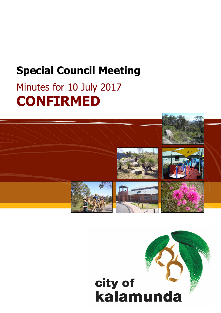# **Special Council Meeting**

# Minutes for 10 July 2017 **CONFIRMED**



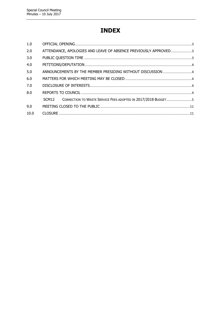# **INDEX**

| 1.0  |                                                                 |                                                                     |  |
|------|-----------------------------------------------------------------|---------------------------------------------------------------------|--|
| 2.0  | ATTENDANCE, APOLOGIES AND LEAVE OF ABSENCE PREVIOUSLY APPROVED3 |                                                                     |  |
| 3.0  |                                                                 |                                                                     |  |
| 4.0  |                                                                 |                                                                     |  |
| 5.0  |                                                                 |                                                                     |  |
| 6.0  |                                                                 |                                                                     |  |
| 7.0  |                                                                 |                                                                     |  |
| 8.0  |                                                                 |                                                                     |  |
|      |                                                                 | SCM12 CORRECTION TO WASTE SERVICE FEES ADOPTED IN 2017/2018 BUDGET5 |  |
| 9.0  |                                                                 |                                                                     |  |
| 10.0 |                                                                 |                                                                     |  |
|      |                                                                 |                                                                     |  |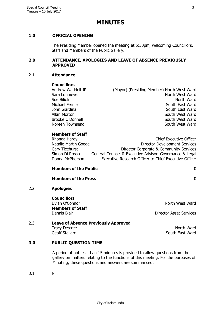# **MINUTES**

# <span id="page-2-0"></span>**1.0 OFFICIAL OPENING**

The Presiding Member opened the meeting at 5:30pm, welcoming Councillors, Staff and Members of the Public Gallery.

#### <span id="page-2-1"></span>**2.0 ATTENDANCE, APOLOGIES AND LEAVE OF ABSENCE PREVIOUSLY APPROVED**

#### 2.1 **Attendance**

#### **Councillors**

| Andrew Waddell JP | (Mayor) (Presiding Member) North West Ward |
|-------------------|--------------------------------------------|
|                   | North West Ward                            |
| Sara Lohmeyer     |                                            |
| Sue Bilich        | North Ward                                 |
| Michael Fernie    | South East Ward                            |
| John Giardina     | South East Ward                            |
| Allan Morton      | South West Ward                            |
| Brooke O'Donnell  | South West Ward                            |
| Noreen Townsend   | South West Ward                            |
|                   |                                            |

#### **Members of Staff**

| Rhonda Hardy         | <b>Chief Executive Officer</b>                          |
|----------------------|---------------------------------------------------------|
| Natalie Martin Goode | Director Development Services                           |
| Gary Ticehurst       | Director Corporate & Community Services                 |
| Simon Di Rosso       | General Counsel & Executive Advisor, Governance & Legal |
| Donna McPherson      | Executive Research Officer to Chief Executive Officer   |
|                      |                                                         |

# **Members of the Public** 0

**Members of the Press** 0

#### 2.2 **Apologies**

**Councillors** Dylan O'Connor North West Ward **Members of Staff**

Dennis Blair Director Asset Services

# 2.3 **Leave of Absence Previously Approved** Tracy Destree North Ward Geoff Stallard South East Ward

# <span id="page-2-2"></span>**3.0 PUBLIC QUESTION TIME**

A period of not less than 15 minutes is provided to allow questions from the gallery on matters relating to the functions of this meeting. For the purposes of Minuting, these questions and answers are summarised.

3.1 Nil.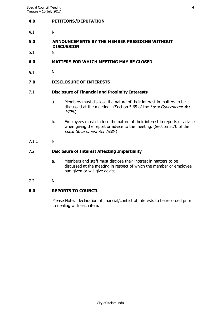#### <span id="page-3-0"></span>**4.0 PETITIONS/DEPUTATION**

4.1 Nil

#### <span id="page-3-1"></span>**5.0 ANNOUNCEMENTS BY THE MEMBER PRESIDING WITHOUT DISCUSSION**

5.1 Nil

# <span id="page-3-2"></span>**6.0 MATTERS FOR WHICH MEETING MAY BE CLOSED**

6.1 Nil.

# <span id="page-3-3"></span>**7.0 DISCLOSURE OF INTERESTS**

# 7.1 **Disclosure of Financial and Proximity Interests**

- a. Members must disclose the nature of their interest in matters to be discussed at the meeting. (Section 5.65 of the Local Government Act 1995.)
- b. Employees must disclose the nature of their interest in reports or advice when giving the report or advice to the meeting. (Section 5.70 of the Local Government Act 1995.)
- 7.1.1 Nil.

# 7.2 **Disclosure of Interest Affecting Impartiality**

- a. Members and staff must disclose their interest in matters to be discussed at the meeting in respect of which the member or employee had given or will give advice.
- 7.2.1 Nil.

#### <span id="page-3-4"></span>**8.0 REPORTS TO COUNCIL**

Please Note: declaration of financial/conflict of interests to be recorded prior to dealing with each item.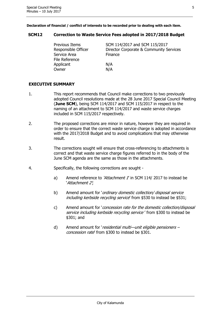**Declaration of financial / conflict of interests to be recorded prior to dealing with each item.**

# <span id="page-4-0"></span>**SCM12 Correction to Waste Service Fees adopted in 2017/2018 Budget**

| SCM 114/2017 and SCM 115/2017           |  |
|-----------------------------------------|--|
| Director Corporate & Community Services |  |
| Finance                                 |  |
|                                         |  |
| N/A                                     |  |
| N/A                                     |  |
|                                         |  |

# **EXECUTIVE SUMMARY**

- 1. This report recommends that Council make corrections to two previously adopted Council resolutions made at the 28 June 2017 Special Council Meeting (**June SCM**), being SCM 114/2017 and SCM 115/2017 in respect to the naming of an attachment to SCM 114/2017 and waste service charges included in SCM 115/2017 respectively.
- 2. The proposed corrections are minor in nature, however they are required in order to ensure that the correct waste service charge is adopted in accordance with the 2017/2018 Budget and to avoid complications that may otherwise result.
- 3. The corrections sought will ensure that cross-referencing to attachments is correct and that waste service charge figures referred to in the body of the June SCM agenda are the same as those in the attachments.
- 4. Specifically, the following corrections are sought
	- a) Amend reference to 'Attachment 1' in SCM 114/2017 to instead be 'Attachment 2';
	- b) Amend amount for '*ordinary domestic collection*/ *disposal service* including kerbside recycling service from \$530 to instead be \$531;
	- c) Amend amount for 'concession rate for the domestic collection/disposal service including kerbside recycling service' from \$300 to instead be \$301; and
	- d) Amend amount for 'residential multi—unit eligible pensioners concession rate from \$300 to instead be \$301.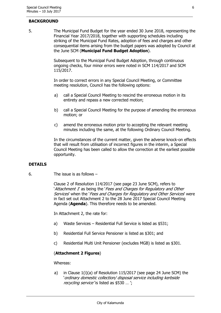#### **BACKGROUND**

5. The Municipal Fund Budget for the year ended 30 June 2018, representing the Financial Year 2017/2018, together with supporting schedules including striking of the Municipal Fund Rates, adoption of fees and charges and other consequential items arising from the budget papers was adopted by Council at the June SCM (**Municipal Fund Budget Adoption**).

> Subsequent to the Municipal Fund Budget Adoption, through continuous ongoing checks, four minor errors were noted in SCM 114/2017 and SCM 115/2017.

In order to correct errors in any Special Council Meeting, or Committee meeting resolution, Council has the following options:

- a) call a Special Council Meeting to rescind the erroneous motion in its entirety and repass a new corrected motion;
- b) call a Special Council Meeting for the purpose of amending the erroneous motion; or
- c) amend the erroneous motion prior to accepting the relevant meeting minutes including the same, at the following Ordinary Council Meeting.

In the circumstances of the current matter, given the adverse knock-on effects that will result from utilisation of incorrect figures in the interim, a Special Council Meeting has been called to allow the correction at the earliest possible opportunity.

#### **DETAILS**

6. The issue is as follows –

Clause 2 of Resolution 114/2017 (see page 23 June SCM), refers to 'Attachment 1' as being the 'Fees and Charges for Regulatory and Other Services' when the 'Fees and Charges for Regulatory and Other Services' were in fact set out Attachment 2 to the 28 June 2017 Special Council Meeting Agenda (**Agenda**). This therefore needs to be amended.

In Attachment 2, the rate for:

- a) Waste Services Residential Full Service is listed as \$531;
- b) Residential Full Service Pensioner is listed as \$301; and
- c) Residential Multi Unit Pensioner (excludes MGB) is listed as \$301.

# (**Attachment 2 Figures**)

Whereas:

a) in Clause 1(i)(a) of Resolution 115/2017 (see page 24 June SCM) the 'ordinary domestic collection/ disposal service including kerbside recycling service' is listed as \$530 ...';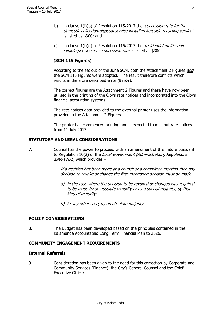- b) in clause 1(i)(b) of Resolution 115/2017 the 'concession rate for the domestic collection/disposal service including kerbside recycling service ' is listed as \$300; and
- c) in clause  $1(i)(d)$  of Resolution 115/2017 the 'residential multi-unit eligible pensioners – concession rate is listed as \$300.

# (**SCM 115 Figures**)

According to the set out of the June SCM, both the Attachment 2 Figures and the SCM 115 Figures were adopted. The result therefore conflicts which results in the afore described error (**Error**).

The correct figures are the Attachment 2 Figures and these have now been utilised in the printing of the City's rate notices and incorporated into the City's financial accounting systems.

The rate notices data provided to the external printer uses the information provided in the Attachment 2 Figures.

The printer has commenced printing and is expected to mail out rate notices from 11 July 2017.

# **STATUTORY AND LEGAL CONSIDERATIONS**

7. Council has the power to proceed with an amendment of this nature pursuant to Regulation 10(2) of the *Local Government (Administration) Regulations* 1996 (WA), which provides  $-$ 

> If a decision has been made at a council or a committee meeting then any decision to revoke or change the first-mentioned decision must be made —

- a) in the case where the decision to be revoked or changed was required to be made by an absolute majority or by a special majority, by that kind of majority;
- b) in any other case, by an absolute majority.

#### **POLICY CONSIDERATIONS**

8. The Budget has been developed based on the principles contained in the Kalamunda Accountable: Long Term Financial Plan to 2026.

#### **COMMUNITY ENGAGEMENT REQUIREMENTS**

#### **Internal Referrals**

9. Consideration has been given to the need for this correction by Corporate and Community Services (Finance), the City's General Counsel and the Chief Executive Officer.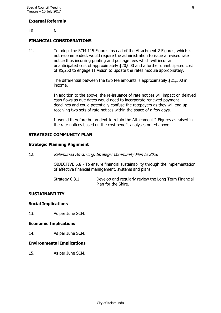# **External Referrals**

# 10. Nil.

# **FINANCIAL CONSIDERATIONS**

11. To adopt the SCM 115 Figures instead of the Attachment 2 Figures, which is not recommended, would require the administration to issue a revised rate notice thus incurring printing and postage fees which will incur an unanticipated cost of approximately \$20,000 and a further unanticipated cost of \$5,250 to engage IT Vision to update the rates module appropriately.

> The differential between the two fee amounts is approximately \$21,500 in income.

In addition to the above, the re-issuance of rate notices will impact on delayed cash flows as due dates would need to incorporate renewed payment deadlines and could potentially confuse the ratepayers as they will end up receiving two sets of rate notices within the space of a few days.

It would therefore be prudent to retain the Attachment 2 Figures as raised in the rate notices based on the cost benefit analyses noted above.

# **STRATEGIC COMMUNITY PLAN**

#### **Strategic Planning Alignment**

12. Kalamunda Advancing: Strategic Community Plan to 2026

OBJECTIVE 6.8 - To ensure financial sustainability through the implementation of effective financial management, systems and plans

Strategy 6.8.1 Develop and regularly review the Long Term Financial Plan for the Shire.

# **SUSTAINABILITY**

#### **Social Implications**

13. As per June SCM.

#### **Economic Implications**

14. As per June SCM.

#### **Environmental Implications**

15. As per June SCM.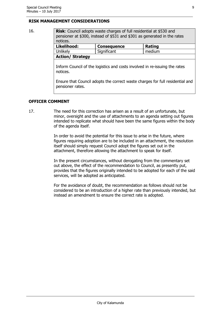# **RISK MANAGEMENT CONSIDERATIONS**

| 16. | <b>Risk:</b> Council adopts waste charges of full residential at \$530 and<br>pensioner at \$300, instead of \$531 and \$301 as generated in the rates<br>notices. |                    |        |  |  |  |  |
|-----|--------------------------------------------------------------------------------------------------------------------------------------------------------------------|--------------------|--------|--|--|--|--|
|     | Likelihood:                                                                                                                                                        | <b>Consequence</b> | Rating |  |  |  |  |
|     | Unlikely                                                                                                                                                           | Significant        | medium |  |  |  |  |
|     | <b>Action/ Strategy</b>                                                                                                                                            |                    |        |  |  |  |  |
|     | Inform Council of the logistics and costs involved in re-issuing the rates<br>notices.                                                                             |                    |        |  |  |  |  |
|     | Ensure that Council adopts the correct waste charges for full residential and<br>pensioner rates.                                                                  |                    |        |  |  |  |  |

# **OFFICER COMMENT**

17. The need for this correction has arisen as a result of an unfortunate, but minor, oversight and the use of attachments to an agenda setting out figures intended to replicate what should have been the same figures within the body of the agenda itself.

> In order to avoid the potential for this issue to arise in the future, where figures requiring adoption are to be included in an attachment, the resolution itself should simply request Council adopt the figures set out in the attachment, therefore allowing the attachment to speak for itself.

In the present circumstances, without derogating from the commentary set out above, the effect of the recommendation to Council, as presently put, provides that the figures originally intended to be adopted for each of the said services, will be adopted as anticipated.

For the avoidance of doubt, the recommendation as follows should not be considered to be an introduction of a higher rate than previously intended, but instead an amendment to ensure the correct rate is adopted.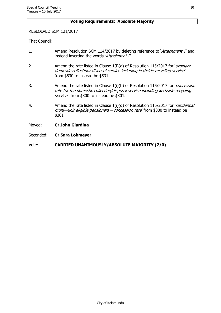#### **Voting Requirements: Absolute Majority**

# RESLOLVED SCM 121/2017

That Council:

- 1. Amend Resolution SCM 114/2017 by deleting reference to 'Attachment 1' and instead inserting the words 'Attachment 2.
- 2. Amend the rate listed in Clause  $1(i)(a)$  of Resolution 115/2017 for '*ordinary* domestic collection/ disposal service including kerbside recycling service' from \$530 to instead be \$531.
- 3. Amend the rate listed in Clause 1(i)(b) of Resolution 115/2017 for 'concession rate for the domestic collection/disposal service including kerbside recycling service' from \$300 to instead be \$301.
- 4. Amend the rate listed in Clause 1(i)(d) of Resolution 115/2017 for 'residential multi—unit eligible pensioners – concession rate from \$300 to instead be \$301
- Moved: **Cr John Giardina**
- Seconded: **Cr Sara Lohmeyer**

Vote: **CARRIED UNANIMOUSLY/ABSOLUTE MAJORITY (7/0)**